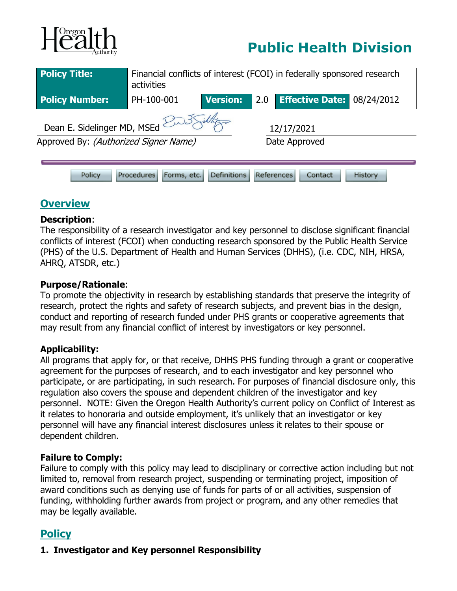

# **Public Health Division**

| <b>Policy Title:</b>                                                                                 | Financial conflicts of interest (FCOI) in federally sponsored research<br>activities |                 |               |                        |            |
|------------------------------------------------------------------------------------------------------|--------------------------------------------------------------------------------------|-----------------|---------------|------------------------|------------|
| <b>Policy Number:</b>                                                                                | PH-100-001                                                                           | <b>Version:</b> | 2.0           | <b>Effective Date:</b> | 08/24/2012 |
| Dean E. Sidelinger MD, MSEd $\mathbb{Z}$<br>12/17/2021                                               |                                                                                      |                 |               |                        |            |
| Approved By: (Authorized Signer Name)                                                                |                                                                                      |                 | Date Approved |                        |            |
| <b>Definitions</b><br><b>Procedures</b><br>Forms, etc.<br>References<br>Policy<br>History<br>Contact |                                                                                      |                 |               |                        |            |

### **Overview**

#### **Description**:

The responsibility of a research investigator and key personnel to disclose significant financial conflicts of interest (FCOI) when conducting research sponsored by the Public Health Service (PHS) of the U.S. Department of Health and Human Services (DHHS), (i.e. CDC, NIH, HRSA, AHRQ, ATSDR, etc.)

#### **Purpose/Rationale**:

To promote the objectivity in research by establishing standards that preserve the integrity of research, protect the rights and safety of research subjects, and prevent bias in the design, conduct and reporting of research funded under PHS grants or cooperative agreements that may result from any financial conflict of interest by investigators or key personnel.

#### **Applicability:**

All programs that apply for, or that receive, DHHS PHS funding through a grant or cooperative agreement for the purposes of research, and to each investigator and key personnel who participate, or are participating, in such research. For purposes of financial disclosure only, this regulation also covers the spouse and dependent children of the investigator and key personnel. NOTE: Given the Oregon Health Authority's current policy on Conflict of Interest as it relates to honoraria and outside employment, it's unlikely that an investigator or key personnel will have any financial interest disclosures unless it relates to their spouse or dependent children.

#### **Failure to Comply:**

Failure to comply with this policy may lead to disciplinary or corrective action including but not limited to, removal from research project, suspending or terminating project, imposition of award conditions such as denying use of funds for parts of or all activities, suspension of funding, withholding further awards from project or program, and any other remedies that may be legally available.

## **Policy**

#### **1. Investigator and Key personnel Responsibility**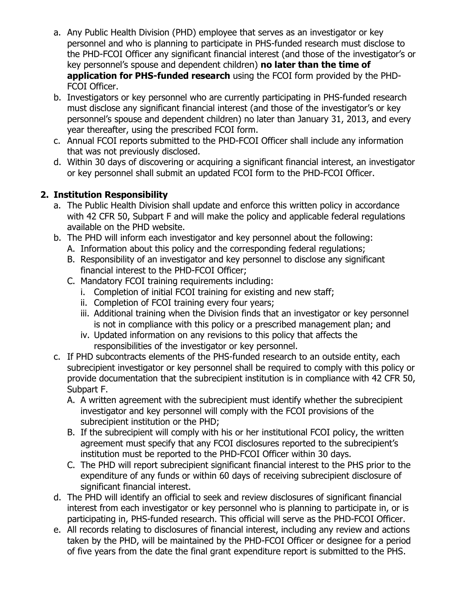- a. Any Public Health Division (PHD) employee that serves as an investigator or key personnel and who is planning to participate in PHS-funded research must disclose to the PHD-FCOI Officer any significant financial interest (and those of the investigator's or key personnel's spouse and dependent children) **no later than the time of application for PHS-funded research** using the FCOI form provided by the PHD-FCOI Officer.
- b. Investigators or key personnel who are currently participating in PHS-funded research must disclose any significant financial interest (and those of the investigator's or key personnel's spouse and dependent children) no later than January 31, 2013, and every year thereafter, using the prescribed FCOI form.
- c. Annual FCOI reports submitted to the PHD-FCOI Officer shall include any information that was not previously disclosed.
- d. Within 30 days of discovering or acquiring a significant financial interest, an investigator or key personnel shall submit an updated FCOI form to the PHD-FCOI Officer.

#### **2. Institution Responsibility**

- a. The Public Health Division shall update and enforce this written policy in accordance with 42 CFR 50, Subpart F and will make the policy and applicable federal regulations available on the PHD website.
- b. The PHD will inform each investigator and key personnel about the following:
	- A. Information about this policy and the corresponding federal regulations;
	- B. Responsibility of an investigator and key personnel to disclose any significant financial interest to the PHD-FCOI Officer;
	- C. Mandatory FCOI training requirements including:
		- i. Completion of initial FCOI training for existing and new staff;
		- ii. Completion of FCOI training every four years;
		- iii. Additional training when the Division finds that an investigator or key personnel is not in compliance with this policy or a prescribed management plan; and
		- iv. Updated information on any revisions to this policy that affects the responsibilities of the investigator or key personnel.
- c. If PHD subcontracts elements of the PHS-funded research to an outside entity, each subrecipient investigator or key personnel shall be required to comply with this policy or provide documentation that the subrecipient institution is in compliance with 42 CFR 50, Subpart F.
	- A. A written agreement with the subrecipient must identify whether the subrecipient investigator and key personnel will comply with the FCOI provisions of the subrecipient institution or the PHD;
	- B. If the subrecipient will comply with his or her institutional FCOI policy, the written agreement must specify that any FCOI disclosures reported to the subrecipient's institution must be reported to the PHD-FCOI Officer within 30 days.
	- C. The PHD will report subrecipient significant financial interest to the PHS prior to the expenditure of any funds or within 60 days of receiving subrecipient disclosure of significant financial interest.
- d. The PHD will identify an official to seek and review disclosures of significant financial interest from each investigator or key personnel who is planning to participate in, or is participating in, PHS-funded research. This official will serve as the PHD-FCOI Officer.
- e. All records relating to disclosures of financial interest, including any review and actions taken by the PHD, will be maintained by the PHD-FCOI Officer or designee for a period of five years from the date the final grant expenditure report is submitted to the PHS.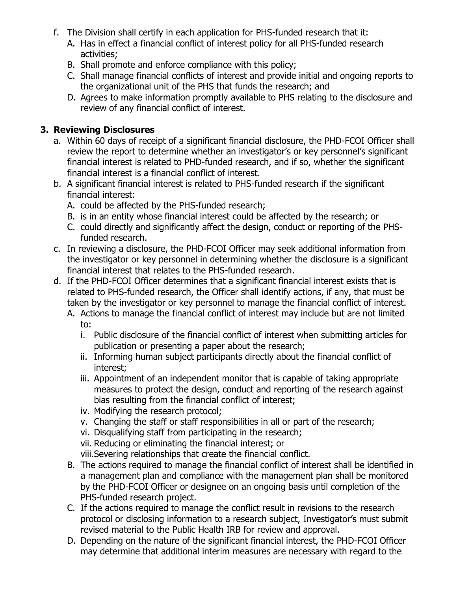- f. The Division shall certify in each application for PHS-funded research that it:
	- A. Has in effect a financial conflict of interest policy for all PHS-funded research activities;
	- B. Shall promote and enforce compliance with this policy;
	- C. Shall manage financial conflicts of interest and provide initial and ongoing reports to the organizational unit of the PHS that funds the research; and
	- D. Agrees to make information promptly available to PHS relating to the disclosure and review of any financial conflict of interest.

#### **3. Reviewing Disclosures**

- a. Within 60 days of receipt of a significant financial disclosure, the PHD-FCOI Officer shall review the report to determine whether an investigator's or key personnel's significant financial interest is related to PHD-funded research, and if so, whether the significant financial interest is a financial conflict of interest.
- b. A significant financial interest is related to PHS-funded research if the significant financial interest:
	- A. could be affected by the PHS-funded research;
	- B. is in an entity whose financial interest could be affected by the research; or
	- C. could directly and significantly affect the design, conduct or reporting of the PHSfunded research.
- c. In reviewing a disclosure, the PHD-FCOI Officer may seek additional information from the investigator or key personnel in determining whether the disclosure is a significant financial interest that relates to the PHS-funded research.
- d. If the PHD-FCOI Officer determines that a significant financial interest exists that is related to PHS-funded research, the Officer shall identify actions, if any, that must be taken by the investigator or key personnel to manage the financial conflict of interest.
	- A. Actions to manage the financial conflict of interest may include but are not limited to:
		- i. Public disclosure of the financial conflict of interest when submitting articles for publication or presenting a paper about the research;
		- ii. Informing human subject participants directly about the financial conflict of interest;
		- iii. Appointment of an independent monitor that is capable of taking appropriate measures to protect the design, conduct and reporting of the research against bias resulting from the financial conflict of interest;
		- iv. Modifying the research protocol;
		- v. Changing the staff or staff responsibilities in all or part of the research;
		- vi. Disqualifying staff from participating in the research;
		- vii. Reducing or eliminating the financial interest; or
		- viii.Severing relationships that create the financial conflict.
	- B. The actions required to manage the financial conflict of interest shall be identified in a management plan and compliance with the management plan shall be monitored by the PHD-FCOI Officer or designee on an ongoing basis until completion of the PHS-funded research project.
	- C. If the actions required to manage the conflict result in revisions to the research protocol or disclosing information to a research subject, Investigator's must submit revised material to the Public Health IRB for review and approval.
	- D. Depending on the nature of the significant financial interest, the PHD-FCOI Officer may determine that additional interim measures are necessary with regard to the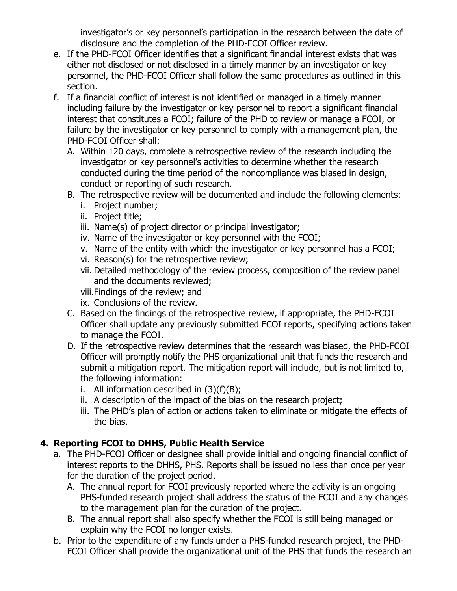investigator's or key personnel's participation in the research between the date of disclosure and the completion of the PHD-FCOI Officer review.

- e. If the PHD-FCOI Officer identifies that a significant financial interest exists that was either not disclosed or not disclosed in a timely manner by an investigator or key personnel, the PHD-FCOI Officer shall follow the same procedures as outlined in this section.
- f. If a financial conflict of interest is not identified or managed in a timely manner including failure by the investigator or key personnel to report a significant financial interest that constitutes a FCOI; failure of the PHD to review or manage a FCOI, or failure by the investigator or key personnel to comply with a management plan, the PHD-FCOI Officer shall:
	- A. Within 120 days, complete a retrospective review of the research including the investigator or key personnel's activities to determine whether the research conducted during the time period of the noncompliance was biased in design, conduct or reporting of such research.
	- B. The retrospective review will be documented and include the following elements:
		- i. Project number;
		- ii. Project title;
		- iii. Name(s) of project director or principal investigator;
		- iv. Name of the investigator or key personnel with the FCOI;
		- v. Name of the entity with which the investigator or key personnel has a FCOI;
		- vi. Reason(s) for the retrospective review;
		- vii. Detailed methodology of the review process, composition of the review panel and the documents reviewed;
		- viii.Findings of the review; and
		- ix. Conclusions of the review.
	- C. Based on the findings of the retrospective review, if appropriate, the PHD-FCOI Officer shall update any previously submitted FCOI reports, specifying actions taken to manage the FCOI.
	- D. If the retrospective review determines that the research was biased, the PHD-FCOI Officer will promptly notify the PHS organizational unit that funds the research and submit a mitigation report. The mitigation report will include, but is not limited to, the following information:
		- i. All information described in  $(3)(f)(B)$ ;
		- ii. A description of the impact of the bias on the research project;
		- iii. The PHD's plan of action or actions taken to eliminate or mitigate the effects of the bias.

#### **4. Reporting FCOI to DHHS, Public Health Service**

- a. The PHD-FCOI Officer or designee shall provide initial and ongoing financial conflict of interest reports to the DHHS, PHS. Reports shall be issued no less than once per year for the duration of the project period.
	- A. The annual report for FCOI previously reported where the activity is an ongoing PHS-funded research project shall address the status of the FCOI and any changes to the management plan for the duration of the project.
	- B. The annual report shall also specify whether the FCOI is still being managed or explain why the FCOI no longer exists.
- b. Prior to the expenditure of any funds under a PHS-funded research project, the PHD-FCOI Officer shall provide the organizational unit of the PHS that funds the research an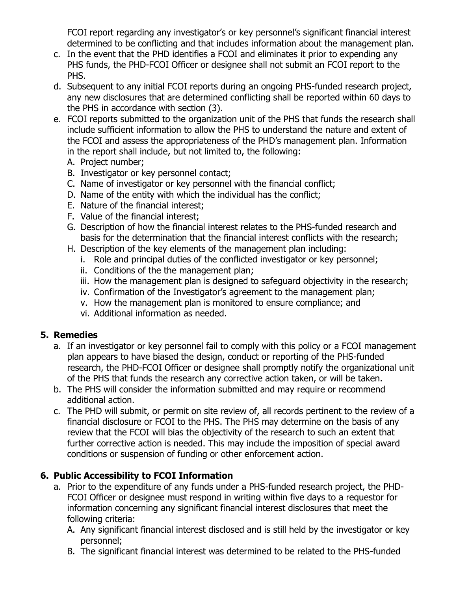FCOI report regarding any investigator's or key personnel's significant financial interest determined to be conflicting and that includes information about the management plan.

- c. In the event that the PHD identifies a FCOI and eliminates it prior to expending any PHS funds, the PHD-FCOI Officer or designee shall not submit an FCOI report to the PHS.
- d. Subsequent to any initial FCOI reports during an ongoing PHS-funded research project, any new disclosures that are determined conflicting shall be reported within 60 days to the PHS in accordance with section (3).
- e. FCOI reports submitted to the organization unit of the PHS that funds the research shall include sufficient information to allow the PHS to understand the nature and extent of the FCOI and assess the appropriateness of the PHD's management plan. Information in the report shall include, but not limited to, the following:
	- A. Project number;
	- B. Investigator or key personnel contact;
	- C. Name of investigator or key personnel with the financial conflict;
	- D. Name of the entity with which the individual has the conflict;
	- E. Nature of the financial interest;
	- F. Value of the financial interest;
	- G. Description of how the financial interest relates to the PHS-funded research and basis for the determination that the financial interest conflicts with the research;
	- H. Description of the key elements of the management plan including:
		- i. Role and principal duties of the conflicted investigator or key personnel;
		- ii. Conditions of the the management plan;
		- iii. How the management plan is designed to safeguard objectivity in the research;
		- iv. Confirmation of the Investigator's agreement to the management plan;
		- v. How the management plan is monitored to ensure compliance; and
		- vi. Additional information as needed.

#### **5. Remedies**

- a. If an investigator or key personnel fail to comply with this policy or a FCOI management plan appears to have biased the design, conduct or reporting of the PHS-funded research, the PHD-FCOI Officer or designee shall promptly notify the organizational unit of the PHS that funds the research any corrective action taken, or will be taken.
- b. The PHS will consider the information submitted and may require or recommend additional action.
- c. The PHD will submit, or permit on site review of, all records pertinent to the review of a financial disclosure or FCOI to the PHS. The PHS may determine on the basis of any review that the FCOI will bias the objectivity of the research to such an extent that further corrective action is needed. This may include the imposition of special award conditions or suspension of funding or other enforcement action.

#### **6. Public Accessibility to FCOI Information**

- a. Prior to the expenditure of any funds under a PHS-funded research project, the PHD-FCOI Officer or designee must respond in writing within five days to a requestor for information concerning any significant financial interest disclosures that meet the following criteria:
	- A. Any significant financial interest disclosed and is still held by the investigator or key personnel;
	- B. The significant financial interest was determined to be related to the PHS-funded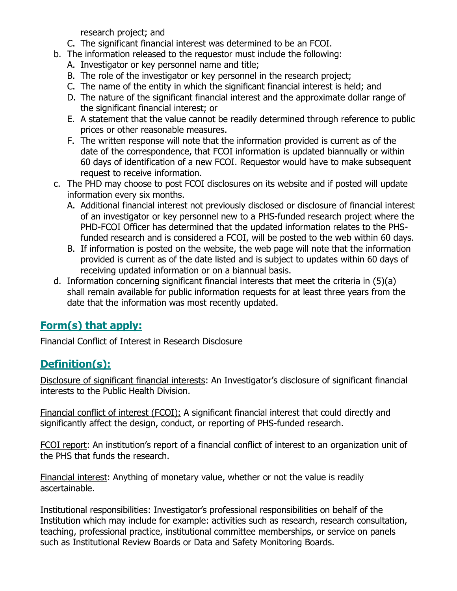research project; and

- C. The significant financial interest was determined to be an FCOI.
- b. The information released to the requestor must include the following:
	- A. Investigator or key personnel name and title;
	- B. The role of the investigator or key personnel in the research project;
	- C. The name of the entity in which the significant financial interest is held; and
	- D. The nature of the significant financial interest and the approximate dollar range of the significant financial interest; or
	- E. A statement that the value cannot be readily determined through reference to public prices or other reasonable measures.
	- F. The written response will note that the information provided is current as of the date of the correspondence, that FCOI information is updated biannually or within 60 days of identification of a new FCOI. Requestor would have to make subsequent request to receive information.
- c. The PHD may choose to post FCOI disclosures on its website and if posted will update information every six months.
	- A. Additional financial interest not previously disclosed or disclosure of financial interest of an investigator or key personnel new to a PHS-funded research project where the PHD-FCOI Officer has determined that the updated information relates to the PHSfunded research and is considered a FCOI, will be posted to the web within 60 days.
	- B. If information is posted on the website, the web page will note that the information provided is current as of the date listed and is subject to updates within 60 days of receiving updated information or on a biannual basis.
- d. Information concerning significant financial interests that meet the criteria in (5)(a) shall remain available for public information requests for at least three years from the date that the information was most recently updated.

# **Form(s) that apply:**

Financial Conflict of Interest in Research Disclosure

# **Definition(s):**

Disclosure of significant financial interests: An Investigator's disclosure of significant financial interests to the Public Health Division.

Financial conflict of interest (FCOI): A significant financial interest that could directly and significantly affect the design, conduct, or reporting of PHS-funded research.

FCOI report: An institution's report of a financial conflict of interest to an organization unit of the PHS that funds the research.

Financial interest: Anything of monetary value, whether or not the value is readily ascertainable.

Institutional responsibilities: Investigator's professional responsibilities on behalf of the Institution which may include for example: activities such as research, research consultation, teaching, professional practice, institutional committee memberships, or service on panels such as Institutional Review Boards or Data and Safety Monitoring Boards.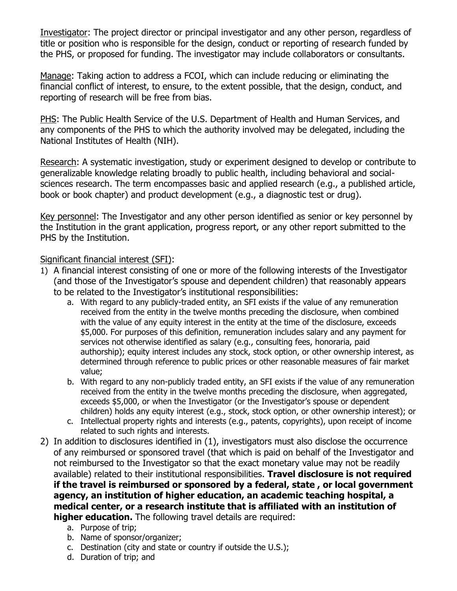Investigator: The project director or principal investigator and any other person, regardless of title or position who is responsible for the design, conduct or reporting of research funded by the PHS, or proposed for funding. The investigator may include collaborators or consultants.

Manage: Taking action to address a FCOI, which can include reducing or eliminating the financial conflict of interest, to ensure, to the extent possible, that the design, conduct, and reporting of research will be free from bias.

PHS: The Public Health Service of the U.S. Department of Health and Human Services, and any components of the PHS to which the authority involved may be delegated, including the National Institutes of Health (NIH).

Research: A systematic investigation, study or experiment designed to develop or contribute to generalizable knowledge relating broadly to public health, including behavioral and socialsciences research. The term encompasses basic and applied research (e.g., a published article, book or book chapter) and product development (e.g., a diagnostic test or drug).

Key personnel: The Investigator and any other person identified as senior or key personnel by the Institution in the grant application, progress report, or any other report submitted to the PHS by the Institution.

#### Significant financial interest (SFI):

- 1) A financial interest consisting of one or more of the following interests of the Investigator (and those of the Investigator's spouse and dependent children) that reasonably appears to be related to the Investigator's institutional responsibilities:
	- a. With regard to any publicly-traded entity, an SFI exists if the value of any remuneration received from the entity in the twelve months preceding the disclosure, when combined with the value of any equity interest in the entity at the time of the disclosure, exceeds \$5,000. For purposes of this definition, remuneration includes salary and any payment for services not otherwise identified as salary (e.g., consulting fees, honoraria, paid authorship); equity interest includes any stock, stock option, or other ownership interest, as determined through reference to public prices or other reasonable measures of fair market value;
	- b. With regard to any non-publicly traded entity, an SFI exists if the value of any remuneration received from the entity in the twelve months preceding the disclosure, when aggregated, exceeds \$5,000, or when the Investigator (or the Investigator's spouse or dependent children) holds any equity interest (e.g., stock, stock option, or other ownership interest); or
	- c. Intellectual property rights and interests (e.g., patents, copyrights), upon receipt of income related to such rights and interests.
- 2) In addition to disclosures identified in (1), investigators must also disclose the occurrence of any reimbursed or sponsored travel (that which is paid on behalf of the Investigator and not reimbursed to the Investigator so that the exact monetary value may not be readily available) related to their institutional responsibilities. **Travel disclosure is not required if the travel is reimbursed or sponsored by a federal, state , or local government agency, an institution of higher education, an academic teaching hospital, a medical center, or a research institute that is affiliated with an institution of higher education.** The following travel details are required:
	- a. Purpose of trip;
	- b. Name of sponsor/organizer;
	- c. Destination (city and state or country if outside the U.S.);
	- d. Duration of trip; and